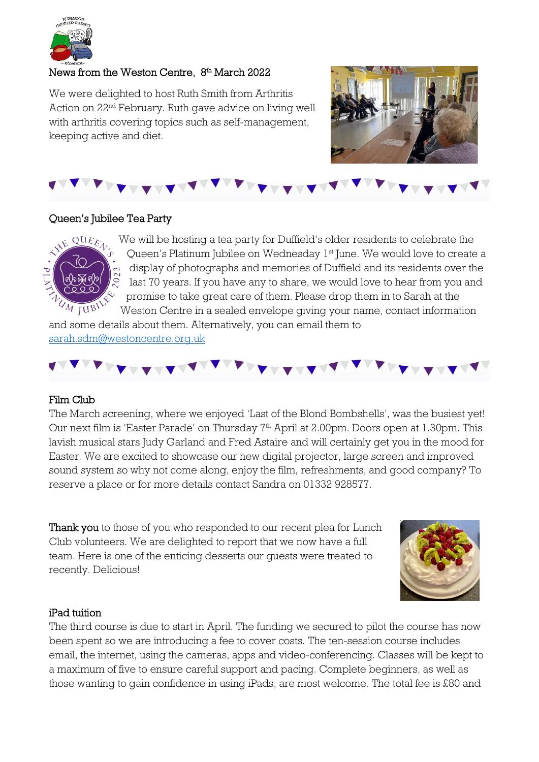

## News from the Weston Centre, 8<sup>th</sup> March 2022

We were delighted to host Ruth Smith from Arthritis Action on 22nd February. Ruth gave advice on living well with arthritis covering topics such as self-management, keeping active and diet.





## Queen's Jubilee Tea Party



We will be hosting a tea party for Duffield's older residents to celebrate the Queen's Platinum Jubilee on Wednesday 1<sup>st</sup> June. We would love to create a display of photographs and memories of Duffield and its residents over the last 70 years. If you have any to share, we would love to hear from you and promise to take great care of them. Please drop them in to Sarah at the Weston Centre in a sealed envelope giving your name, contact information

and some details about them. Alternatively, you can email them to [sarah.sdm@westoncentre.org.uk](mailto:sarah.sdm@westoncentre.org.uk)

### Film Club

The March screening, where we enjoyed 'Last of the Blond Bombshells', was the busiest yet! Our next film is 'Easter Parade' on Thursday 7<sup>th</sup> April at 2.00pm. Doors open at 1.30pm. This lavish musical stars Judy Garland and Fred Astaire and will certainly get you in the mood for Easter. We are excited to showcase our new digital projector, large screen and improved sound system so why not come along, enjoy the film, refreshments, and good company? To reserve a place or for more details contact Sandra on 01332 928577.

Thank you to those of you who responded to our recent plea for Lunch Club volunteers. We are delighted to report that we now have a full team. Here is one of the enticing desserts our guests were treated to recently. Delicious!



### iPad tuition

The third course is due to start in April. The funding we secured to pilot the course has now been spent so we are introducing a fee to cover costs. The ten-session course includes email, the internet, using the cameras, apps and video-conferencing. Classes will be kept to a maximum of five to ensure careful support and pacing. Complete beginners, as well as those wanting to gain confidence in using iPads, are most welcome. The total fee is £80 and